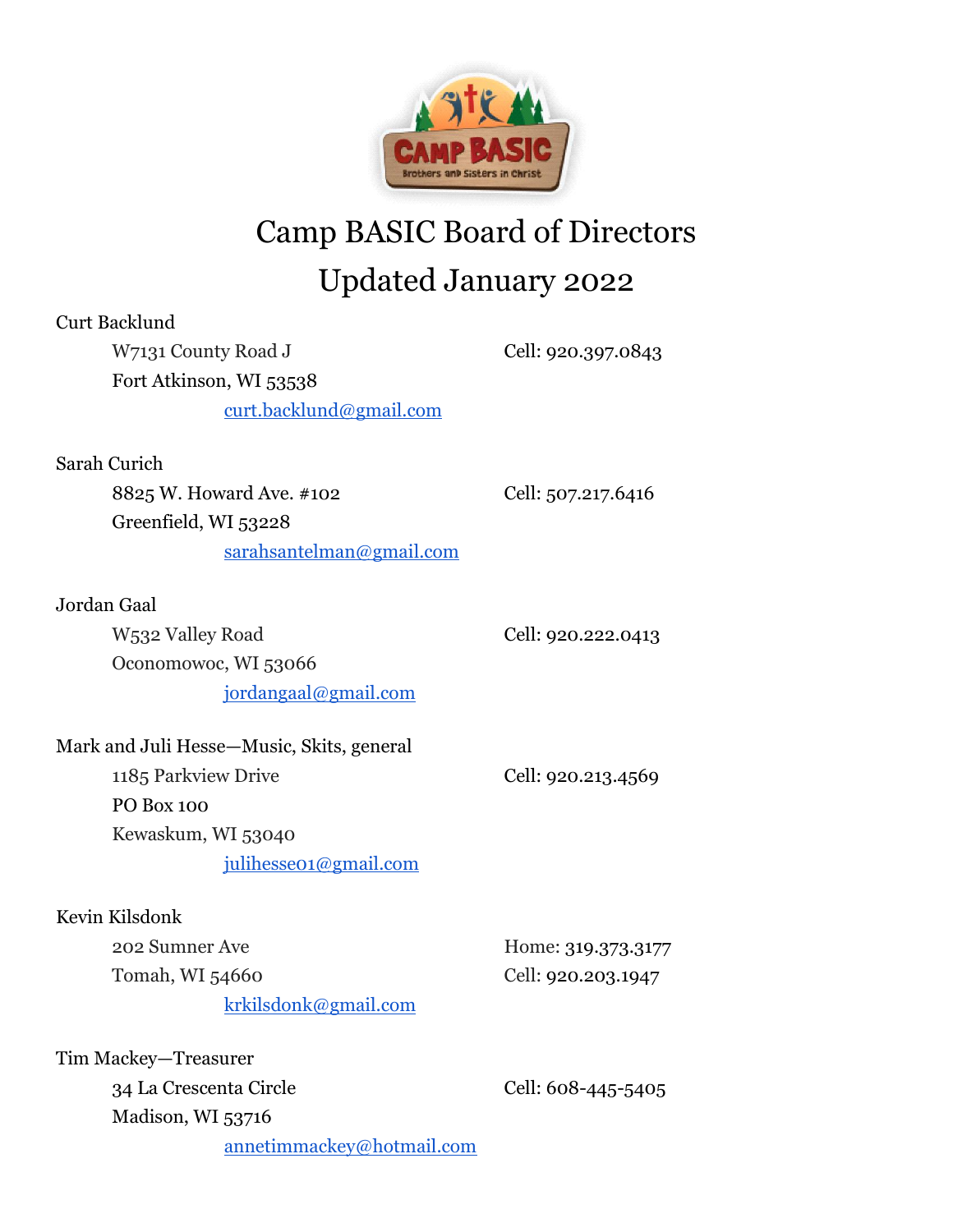

## Camp BASIC Board of Directors Updated January 2022

| Curt Backlund                             |                    |
|-------------------------------------------|--------------------|
| W7131 County Road J                       | Cell: 920.397.0843 |
| Fort Atkinson, WI 53538                   |                    |
| curt.backlund@gmail.com                   |                    |
| Sarah Curich                              |                    |
| 8825 W. Howard Ave. #102                  | Cell: 507.217.6416 |
| Greenfield, WI 53228                      |                    |
| sarahsantelman@gmail.com                  |                    |
| Jordan Gaal                               |                    |
| W532 Valley Road                          | Cell: 920.222.0413 |
| Oconomowoc, WI 53066                      |                    |
| jordangaal@gmail.com                      |                    |
| Mark and Juli Hesse—Music, Skits, general |                    |
| 1185 Parkview Drive                       | Cell: 920.213.4569 |
| <b>PO Box 100</b>                         |                    |
| Kewaskum, WI 53040                        |                    |
| julihesse01@gmail.com                     |                    |
| Kevin Kilsdonk                            |                    |
| 202 Sumner Ave                            | Home: 319.373.3177 |
| Tomah, WI 54660                           | Cell: 920.203.1947 |
| <u>krkilsdonk@gmail.com</u>               |                    |
| Tim Mackey-Treasurer                      |                    |
| 34 La Crescenta Circle                    | Cell: 608-445-5405 |
| Madison, WI 53716                         |                    |
| <u>annetimmackey@hotmail.com</u>          |                    |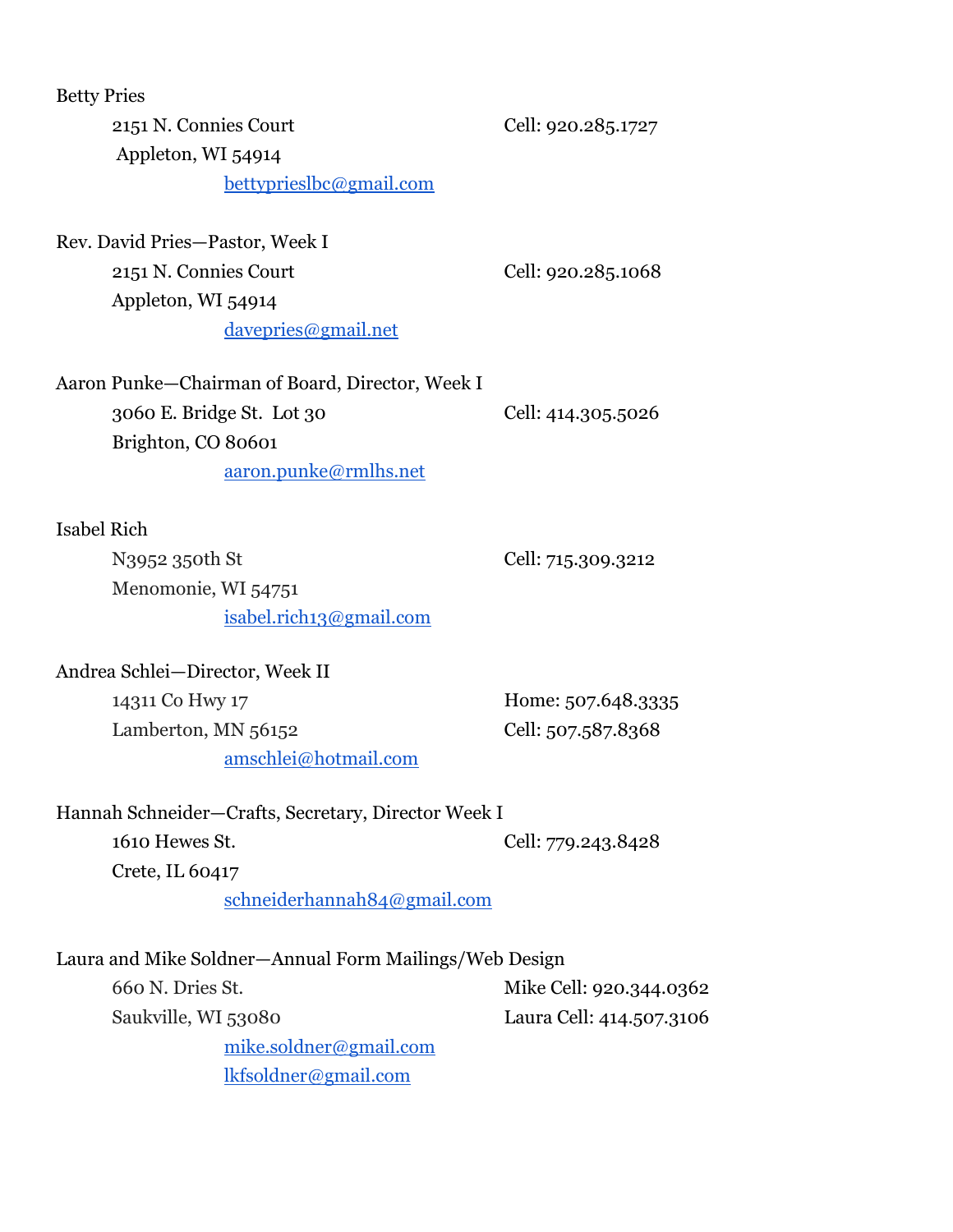Betty Pries

2151 N. Connies Court Cell: 920.285.1727 Appleton, WI 54914 bettyprieslbc@gmail.com

Rev. David Pries—Pastor, Week I 2151 N. Connies Court Cell: 920.285.1068 Appleton, WI 54914 davepries@gmail.net

Aaron Punke—Chairman of Board, Director, Week I 3060 E. Bridge St. Lot 30 Cell: 414.305.5026 Brighton, CO 80601 [aaron.punke@rmlhs.net](mailto:apunke@rmlhs.net)

Isabel Rich

N3952 350th St Cell: 715.309.3212 Menomonie, WI 54751 [isabel.rich13@gmail.com](mailto:isabel.rich13@gmail.com)

Andrea Schlei—Director, Week II 14311 Co Hwy 17 **Home:** 507.648.3335 Lamberton, MN 56152 Cell: 507.587.8368 amschlei@hotmail.com

Hannah Schneider—Crafts, Secretary, Director Week I 1610 Hewes St. Cell: 779.243.8428 Crete, IL 60417 schneiderhannah84@gmail.com

| Laura and Mike Soldner—Annual Form Mailings/Web Design |                          |
|--------------------------------------------------------|--------------------------|
| 660 N. Dries St.                                       | Mike Cell: 920.344.0362  |
| Saukville, WI 53080                                    | Laura Cell: 414.507.3106 |
| mike.soldner@gmail.com                                 |                          |
| lkfsoldner@gmail.com                                   |                          |